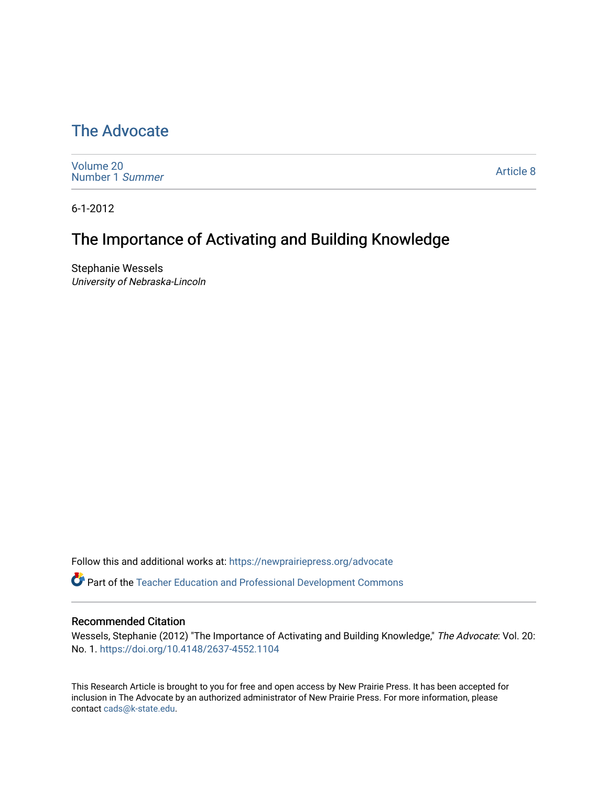# [The Advocate](https://newprairiepress.org/advocate)

[Volume 20](https://newprairiepress.org/advocate/vol20) [Number 1](https://newprairiepress.org/advocate/vol20/iss1) Summer

[Article 8](https://newprairiepress.org/advocate/vol20/iss1/8) 

6-1-2012

# The Importance of Activating and Building Knowledge

Stephanie Wessels University of Nebraska-Lincoln

Follow this and additional works at: [https://newprairiepress.org/advocate](https://newprairiepress.org/advocate?utm_source=newprairiepress.org%2Fadvocate%2Fvol20%2Fiss1%2F8&utm_medium=PDF&utm_campaign=PDFCoverPages) 

Part of the [Teacher Education and Professional Development Commons](http://network.bepress.com/hgg/discipline/803?utm_source=newprairiepress.org%2Fadvocate%2Fvol20%2Fiss1%2F8&utm_medium=PDF&utm_campaign=PDFCoverPages) 

#### Recommended Citation

Wessels, Stephanie (2012) "The Importance of Activating and Building Knowledge," The Advocate: Vol. 20: No. 1. <https://doi.org/10.4148/2637-4552.1104>

This Research Article is brought to you for free and open access by New Prairie Press. It has been accepted for inclusion in The Advocate by an authorized administrator of New Prairie Press. For more information, please contact [cads@k-state.edu](mailto:cads@k-state.edu).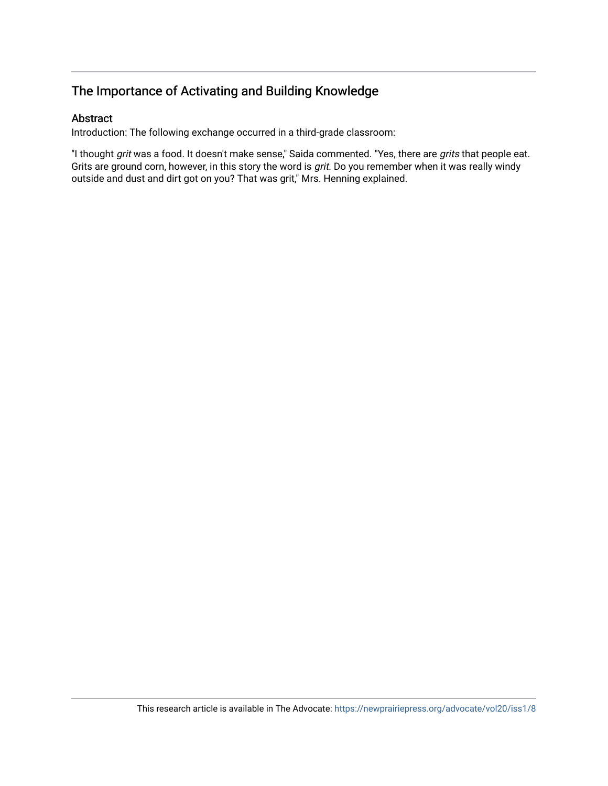## The Importance of Activating and Building Knowledge

## Abstract

Introduction: The following exchange occurred in a third-grade classroom:

"I thought grit was a food. It doesn't make sense," Saida commented. "Yes, there are grits that people eat. Grits are ground corn, however, in this story the word is grit. Do you remember when it was really windy outside and dust and dirt got on you? That was grit," Mrs. Henning explained.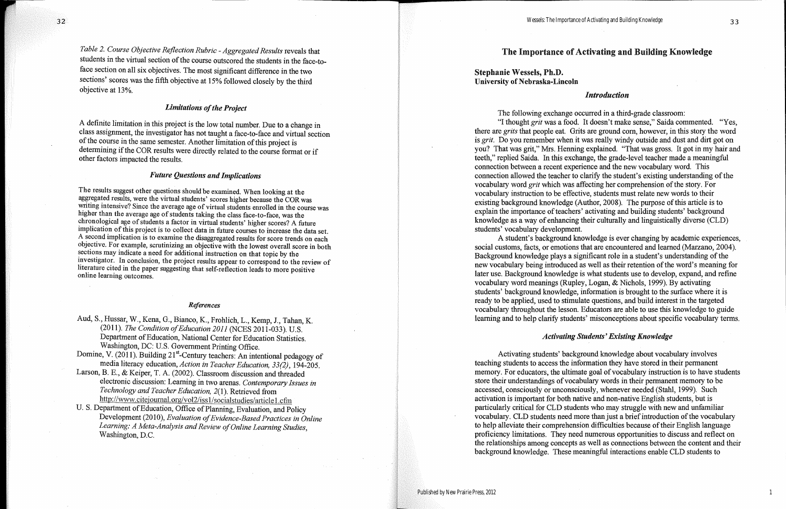## The Importance of Activating and Building Knowledge

## **Stephanie Wessels, Ph.D. University of Nebraska-Lincoln**

### **Introduction**

The following exchange occurred in a third-grade classroom:

"I thought grit was a food. It doesn't make sense," Saida commented. "Yes, there are grits that people eat. Grits are ground corn, however, in this story the word is grit. Do you remember when it was really windy outside and dust and dirt got on you? That was grit," Mrs. Henning explained. "That was gross. It got in my hair and teeth," replied Saida. In this exchange, the grade-level teacher made a meaningful connection between a recent experience and the new vocabulary word. This connection allowed the teacher to clarify the student's existing understanding of the vocabulary word grit which was affecting her comprehension of the story. For vocabulary instruction to be effective, students must relate new words to their existing background knowledge (Author, 2008). The purpose of this article is to explain the importance of teachers' activating and building students' background knowledge as a way of enhancing their culturally and linguistically diverse (CLD) students' vocabulary development.

A student's background knowledge is ever changing by academic experiences, social customs, facts, or emotions that are encountered and learned (Marzano, 2004). Background knowledge plays a significant role in a student's understanding of the new vocabulary being introduced as well as their retention of the word's meaning for later use. Background knowledge is what students use to develop, expand, and refine vocabulary word meanings (Rupley, Logan, & Nichols, 1999). By activating students' background knowledge, information is brought to the surface where it is ready to be applied, used to stimulate questions, and build interest in the targeted vocabulary throughout the lesson. Educators are able to use this knowledge to guide learning and to help clarify students' misconceptions about specific vocabulary terms.

#### **Activating Students' Existing Knowledge**

Activating students' background knowledge about vocabulary involves teaching students to access the information they have stored in their permanent memory. For educators, the ultimate goal of vocabulary instruction is to have students store their understandings of vocabulary words in their permanent memory to be accessed, consciously or unconsciously, whenever needed (Stahl, 1999). Such activation is important for both native and non-native English students, but is particularly critical for CLD students who may struggle with new and unfamiliar vocabulary. CLD students need more than just a brief introduction of the vocabulary to help alleviate their comprehension difficulties because of their English language proficiency limitations. They need numerous opportunities to discuss and reflect on the relationships among concepts as well as connections between the content and their background knowledge. These meaningful interactions enable CLD students to

1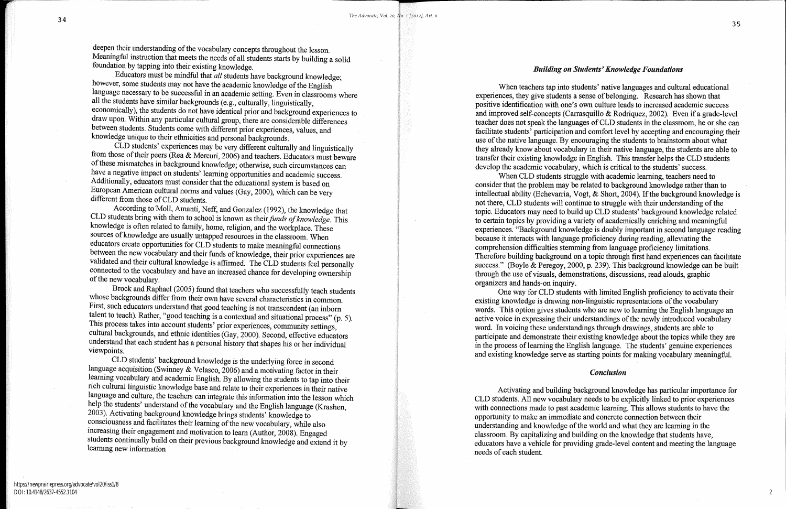deepen their understanding of the vocabulary concepts throughout the lesson. Meaningful instruction that meets the needs of all students starts by building a solid foundation by tapping into their existing knowledge.

Educators must be mindful that  $all$  students have background knowledge; however, some students may not have the academic knowledge of the English language necessary to be successful in an academic setting. Even in classrooms where all the students have similar backgrounds (e.g., culturally, linguistically, economically), the students do not have identical prior and background experiences to draw upon. Within any particular cultural group, there are considerable differences between students. Students come with different prior experiences, values, and knowledge unique to their ethnicities and personal backgrounds.

CLD students' experiences may be very different culturally and linguistically from those of their peers (Rea & Mercuri, 2006) and teachers. Educators must beware of these mismatches in background knowledge; otherwise, such circumstances can have a negative impact on students' learning opportunities and academic success. Additionally, educators must consider that the educational system is based on European American cultural norms and values (Gay, 2000), which can be very different from those of CLD students.

According to Moll, Amanti, Neff, and Gonzalez (1992), the knowledge that CLD students bring with them to school is known as their funds of knowledge. This knowledge is often related to family, home, religion, and the workplace. These sources of knowledge are usually untapped resources in the classroom. When educators create opportunities for CLD students to make meaningful connections between the new vocabulary and their funds of knowledge, their prior experiences are validated and their cultural knowledge is affirmed. The CLD students feel personally connected to the vocabulary and have an increased chance for developing ownership of the new vocabulary.

Brock and Raphael (2005) found that teachers who successfully teach students whose backgrounds differ from their own have several characteristics in common. First, such educators understand that good teaching is not transcendent (an inborn talent to teach). Rather, "good teaching is a contextual and situational process" (p. 5). This process takes into account students' prior experiences, community settings, cultural backgrounds, and ethnic identities (Gay, 2000). Second, effective educators understand that each student has a personal history that shapes his or her individual viewpoints.

CLD students' background knowledge is the underlying force in second language acquisition (Swinney & Velasco, 2006) and a motivating factor in their learning vocabulary and academic English. By allowing the students to tap into their rich cultural linguistic knowledge base and relate to their experiences in their native language and culture, the teachers can integrate this information into the lesson which help the students' understand of the vocabulary and the English language (Krashen, 2003). Activating background knowledge brings students' knowledge to consciousness and facilitates their learning of the new vocabulary, while also increasing their engagement and motivation to learn (Author, 2008). Engaged students continually build on their previous background knowledge and extend it by learning new information

#### **Building on Students' Knowledge Foundations**

When teachers tap into students' native languages and cultural educational When CLD students struggle with academic learning, teachers need to

experiences, they give students a sense of belonging. Research has shown that positive identification with one's own culture leads to increased academic success and improved self-concepts (Carrasquillo & Rodriguez, 2002). Even if a grade-level teacher does not speak the languages of CLD students in the classroom, he or she can facilitate students' participation and comfort level by accepting and encouraging their use of the native language. By encouraging the students to brainstorm about what they already know about vocabulary in their native language, the students are able to transfer their existing knowledge in English. This transfer helps the CLD students develop the academic vocabulary, which is critical to the students' success. consider that the problem may be related to background knowledge rather than to intellectual ability (Echevarria, Vogt, & Short, 2004). If the background knowledge is not there, CLD students will continue to struggle with their understanding of the topic. Educators may need to build up CLD students' background knowledge related to certain topics by providing a variety of academically enriching and meaningful experiences. "Background knowledge is doubly important in second language reading because it interacts with language proficiency during reading, alleviating the comprehension difficulties stemming from language proficiency limitations. Therefore building background on a topic through first hand experiences can facilitate success." (Boyle & Peregoy, 2000, p. 239). This background knowledge can be built through the use of visuals, demonstrations, discussions, read alouds, graphic organizers and hands-on inquiry.

One way for CLD students with limited English proficiency to activate their existing knowledge is drawing non-linguistic representations of the vocabulary words. This option gives students who are new to learning the English language an active voice in expressing their understandings of the newly introduced vocabulary word. In voicing these understandings through drawings, students are able to participate and demonstrate their existing knowledge about the topics while they are in the process of learning the English language. The students' genuine experiences and existing knowledge serve as starting points for making vocabulary meaningful.

Activating and building background knowledge has particular importance for CLD students. All new vocabulary needs to be explicitly linked to prior experiences with connections made to past academic learning. This allows students to have the opportunity to make an immediate and concrete connection between their understanding and knowledge of the world and what they are learning in the classroom. By capitalizing and building on the knowledge that students have, educators have a vehicle for providing grade-level content and meeting the language needs of each student.

#### **Conclusion**